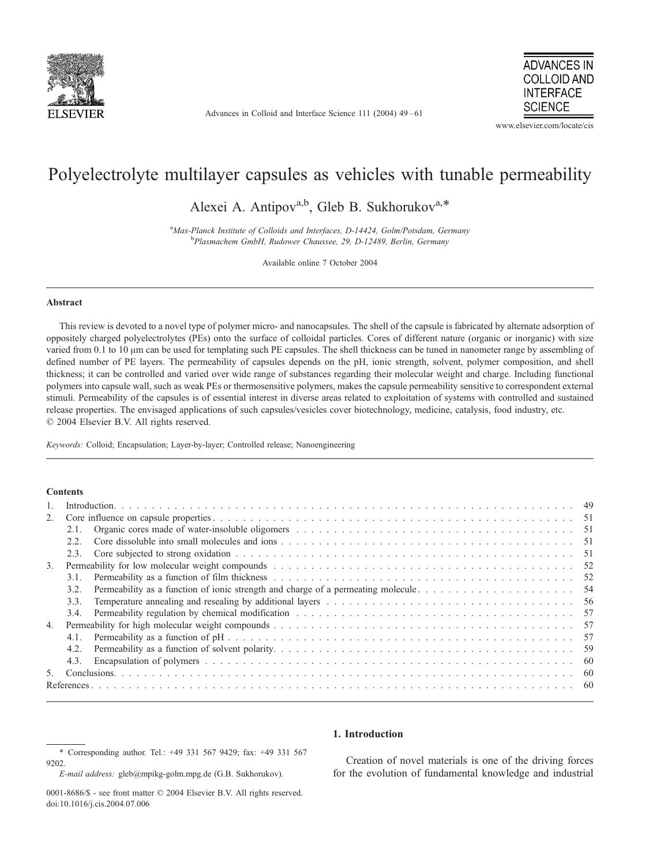

Advances in Colloid and Interface Science 111 (2004) 49-61



www.elsevier.com/locate/cis

# Polyelectrolyte multilayer capsules as vehicles with tunable permeability

Alexei A. Antipov<sup>a,b</sup>, Gleb B. Sukhorukov<sup>a,\*</sup>

<sup>a</sup>Max-Planck Institute of Colloids and Interfaces, D-14424, Golm/Potsdam, Germany <sup>b</sup> Plasmachem GmbH, Rudower Chaussee, 29, D-12489, Berlin, Germany

Available online 7 October 2004

## Abstract

This review is devoted to a novel type of polymer micro- and nanocapsules. The shell of the capsule is fabricated by alternate adsorption of oppositely charged polyelectrolytes (PEs) onto the surface of colloidal particles. Cores of different nature (organic or inorganic) with size varied from 0.1 to 10 µm can be used for templating such PE capsules. The shell thickness can be tuned in nanometer range by assembling of defined number of PE layers. The permeability of capsules depends on the pH, ionic strength, solvent, polymer composition, and shell thickness; it can be controlled and varied over wide range of substances regarding their molecular weight and charge. Including functional polymers into capsule wall, such as weak PEs or thermosensitive polymers, makes the capsule permeability sensitive to correspondent external stimuli. Permeability of the capsules is of essential interest in diverse areas related to exploitation of systems with controlled and sustained release properties. The envisaged applications of such capsules/vesicles cover biotechnology, medicine, catalysis, food industry, etc.  $© 2004 Elsevier B.V. All rights reserved.$ 

Keywords: Colloid; Encapsulation; Layer-by-layer; Controlled release; Nanoengineering

# **Contents**

|                  | 2.1. |      |
|------------------|------|------|
|                  | 22   |      |
|                  | 2.3. |      |
| $\mathfrak{Z}$ . |      |      |
|                  | 3.1. |      |
|                  | 3.2. |      |
|                  | 3.3. |      |
|                  | 3.4. |      |
| 4.               |      |      |
|                  | 4.1. |      |
|                  | 4.2. |      |
|                  | 4.3. | - 60 |
| $5 -$            |      |      |
|                  |      | -60  |

## 1. Introduction

Creation of novel materials is one of the driving forces for the evolution of fundamental knowledge and industrial

<sup>\*</sup> Corresponding author. Tel.: +49 331 567 9429; fax: +49 331 567 9202.

E-mail address: gleb@mpikg-golm.mpg.de (G.B. Sukhorukov).

<sup>0001-8686/\$ -</sup> see front matter © 2004 Elsevier B.V. All rights reserved. doi:10.1016/j.cis.2004.07.006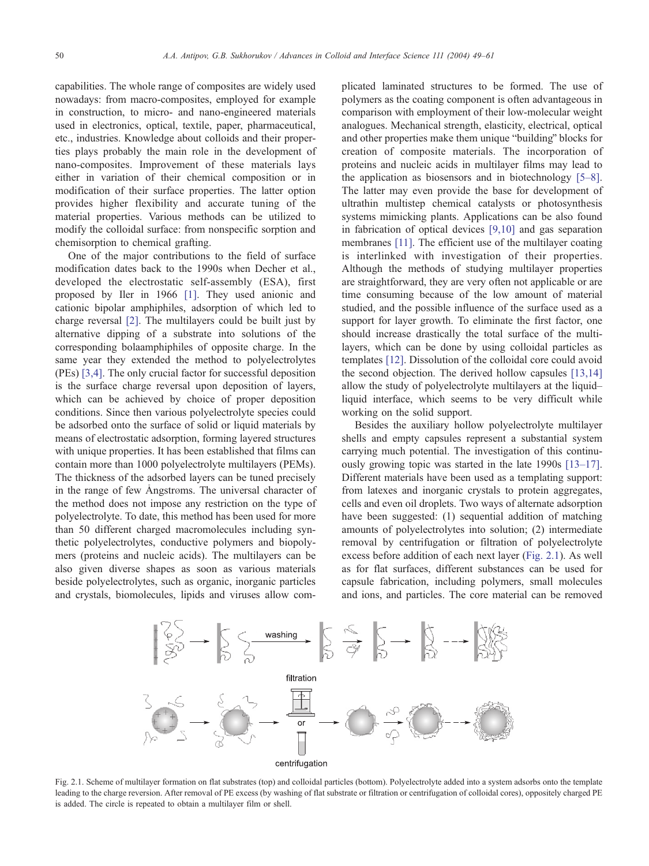<span id="page-1-0"></span>capabilities. The whole range of composites are widely used nowadays: from macro-composites, employed for example in construction, to micro- and nano-engineered materials used in electronics, optical, textile, paper, pharmaceutical, etc., industries. Knowledge about colloids and their properties plays probably the main role in the development of nano-composites. Improvement of these materials lays either in variation of their chemical composition or in modification of their surface properties. The latter option provides higher flexibility and accurate tuning of the material properties. Various methods can be utilized to modify the colloidal surface: from nonspecific sorption and chemisorption to chemical grafting.

One of the major contributions to the field of surface modification dates back to the 1990s when Decher et al., developed the electrostatic self-assembly (ESA), first proposed by Iler in 1966 [\[1\].](#page-11-0) They used anionic and cationic bipolar amphiphiles, adsorption of which led to charge reversal [\[2\].](#page-11-0) The multilayers could be built just by alternative dipping of a substrate into solutions of the corresponding bolaamphiphiles of opposite charge. In the same year they extended the method to polyelectrolytes (PEs) [\[3,4\].](#page-11-0) The only crucial factor for successful deposition is the surface charge reversal upon deposition of layers, which can be achieved by choice of proper deposition conditions. Since then various polyelectrolyte species could be adsorbed onto the surface of solid or liquid materials by means of electrostatic adsorption, forming layered structures with unique properties. It has been established that films can contain more than 1000 polyelectrolyte multilayers (PEMs). The thickness of the adsorbed layers can be tuned precisely in the range of few Angstrøms. The universal character of the method does not impose any restriction on the type of polyelectrolyte. To date, this method has been used for more than 50 different charged macromolecules including synthetic polyelectrolytes, conductive polymers and biopolymers (proteins and nucleic acids). The multilayers can be also given diverse shapes as soon as various materials beside polyelectrolytes, such as organic, inorganic particles and crystals, biomolecules, lipids and viruses allow complicated laminated structures to be formed. The use of polymers as the coating component is often advantageous in comparison with employment of their low-molecular weight analogues. Mechanical strength, elasticity, electrical, optical and other properties make them unique "building" blocks for creation of composite materials. The incorporation of proteins and nucleic acids in multilayer films may lead to the application as biosensors and in biotechnology [\[5–8\].](#page-11-0) The latter may even provide the base for development of ultrathin multistep chemical catalysts or photosynthesis systems mimicking plants. Applications can be also found in fabrication of optical devices [\[9,10\]](#page-11-0) and gas separation membranes [\[11\].](#page-11-0) The efficient use of the multilayer coating is interlinked with investigation of their properties. Although the methods of studying multilayer properties are straightforward, they are very often not applicable or are time consuming because of the low amount of material studied, and the possible influence of the surface used as a support for layer growth. To eliminate the first factor, one should increase drastically the total surface of the multilayers, which can be done by using colloidal particles as templates [\[12\]](#page-11-0). Dissolution of the colloidal core could avoid the second objection. The derived hollow capsules [\[13,14\]](#page-11-0) allow the study of polyelectrolyte multilayers at the liquid– liquid interface, which seems to be very difficult while working on the solid support.

Besides the auxiliary hollow polyelectrolyte multilayer shells and empty capsules represent a substantial system carrying much potential. The investigation of this continuously growing topic was started in the late 1990s [\[13–17\].](#page-11-0) Different materials have been used as a templating support: from latexes and inorganic crystals to protein aggregates, cells and even oil droplets. Two ways of alternate adsorption have been suggested: (1) sequential addition of matching amounts of polyelectrolytes into solution; (2) intermediate removal by centrifugation or filtration of polyelectrolyte excess before addition of each next layer (Fig. 2.1). As well as for flat surfaces, different substances can be used for capsule fabrication, including polymers, small molecules and ions, and particles. The core material can be removed



Fig. 2.1. Scheme of multilayer formation on flat substrates (top) and colloidal particles (bottom). Polyelectrolyte added into a system adsorbs onto the template leading to the charge reversion. After removal of PE excess (by washing of flat substrate or filtration or centrifugation of colloidal cores), oppositely charged PE is added. The circle is repeated to obtain a multilayer film or shell.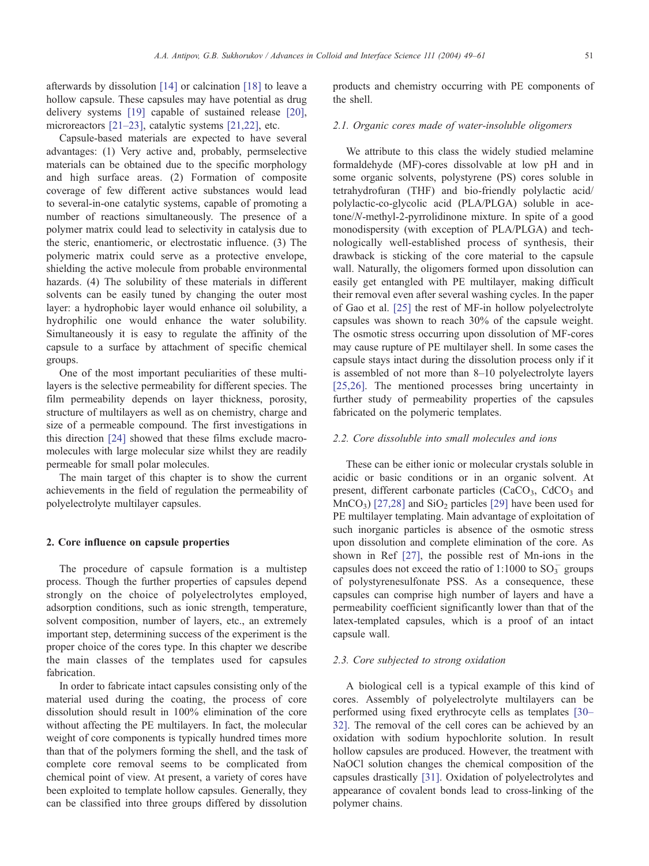afterwards by dissolution [\[14\]](#page-11-0) or calcination [\[18\]](#page-12-0) to leave a hollow capsule. These capsules may have potential as drug delivery systems [\[19\]](#page-12-0) capable of sustained release [\[20\]](#page-12-0), microreactors [\[21–23\]](#page-12-0), catalytic systems [\[21,22\],](#page-12-0) etc.

Capsule-based materials are expected to have several advantages: (1) Very active and, probably, permselective materials can be obtained due to the specific morphology and high surface areas. (2) Formation of composite coverage of few different active substances would lead to several-in-one catalytic systems, capable of promoting a number of reactions simultaneously. The presence of a polymer matrix could lead to selectivity in catalysis due to the steric, enantiomeric, or electrostatic influence. (3) The polymeric matrix could serve as a protective envelope, shielding the active molecule from probable environmental hazards. (4) The solubility of these materials in different solvents can be easily tuned by changing the outer most layer: a hydrophobic layer would enhance oil solubility, a hydrophilic one would enhance the water solubility. Simultaneously it is easy to regulate the affinity of the capsule to a surface by attachment of specific chemical groups.

One of the most important peculiarities of these multilayers is the selective permeability for different species. The film permeability depends on layer thickness, porosity, structure of multilayers as well as on chemistry, charge and size of a permeable compound. The first investigations in this direction [\[24\]](#page-12-0) showed that these films exclude macromolecules with large molecular size whilst they are readily permeable for small polar molecules.

The main target of this chapter is to show the current achievements in the field of regulation the permeability of polyelectrolyte multilayer capsules.

## 2. Core influence on capsule properties

The procedure of capsule formation is a multistep process. Though the further properties of capsules depend strongly on the choice of polyelectrolytes employed, adsorption conditions, such as ionic strength, temperature, solvent composition, number of layers, etc., an extremely important step, determining success of the experiment is the proper choice of the cores type. In this chapter we describe the main classes of the templates used for capsules fabrication.

In order to fabricate intact capsules consisting only of the material used during the coating, the process of core dissolution should result in 100% elimination of the core without affecting the PE multilayers. In fact, the molecular weight of core components is typically hundred times more than that of the polymers forming the shell, and the task of complete core removal seems to be complicated from chemical point of view. At present, a variety of cores have been exploited to template hollow capsules. Generally, they can be classified into three groups differed by dissolution

products and chemistry occurring with PE components of the shell.

# 2.1. Organic cores made of water-insoluble oligomers

We attribute to this class the widely studied melamine formaldehyde (MF)-cores dissolvable at low pH and in some organic solvents, polystyrene (PS) cores soluble in tetrahydrofuran (THF) and bio-friendly polylactic acid/ polylactic-co-glycolic acid (PLA/PLGA) soluble in acetone/N-methyl-2-pyrrolidinone mixture. In spite of a good monodispersity (with exception of PLA/PLGA) and technologically well-established process of synthesis, their drawback is sticking of the core material to the capsule wall. Naturally, the oligomers formed upon dissolution can easily get entangled with PE multilayer, making difficult their removal even after several washing cycles. In the paper of Gao et al. [\[25\]](#page-12-0) the rest of MF-in hollow polyelectrolyte capsules was shown to reach 30% of the capsule weight. The osmotic stress occurring upon dissolution of MF-cores may cause rupture of PE multilayer shell. In some cases the capsule stays intact during the dissolution process only if it is assembled of not more than 8–10 polyelectrolyte layers [\[25,26\]](#page-12-0). The mentioned processes bring uncertainty in further study of permeability properties of the capsules fabricated on the polymeric templates.

#### 2.2. Core dissoluble into small molecules and ions

These can be either ionic or molecular crystals soluble in acidic or basic conditions or in an organic solvent. At present, different carbonate particles  $(CaCO<sub>3</sub>, CdCO<sub>3</sub>)$  and  $MnCO<sub>3</sub>$  [\[27,28\]](#page-12-0) and SiO<sub>2</sub> particles [\[29\]](#page-12-0) have been used for PE multilayer templating. Main advantage of exploitation of such inorganic particles is absence of the osmotic stress upon dissolution and complete elimination of the core. As shown in Ref [\[27\],](#page-12-0) the possible rest of Mn-ions in the capsules does not exceed the ratio of 1:1000 to  $SO_3^-$  groups of polystyrenesulfonate PSS. As a consequence, these capsules can comprise high number of layers and have a permeability coefficient significantly lower than that of the latex-templated capsules, which is a proof of an intact capsule wall.

#### 2.3. Core subjected to strong oxidation

A biological cell is a typical example of this kind of cores. Assembly of polyelectrolyte multilayers can be performed using fixed erythrocyte cells as templates [\[30–](#page-12-0) 32]. The removal of the cell cores can be achieved by an oxidation with sodium hypochlorite solution. In result hollow capsules are produced. However, the treatment with NaOCl solution changes the chemical composition of the capsules drastically [\[31\]](#page-12-0). Oxidation of polyelectrolytes and appearance of covalent bonds lead to cross-linking of the polymer chains.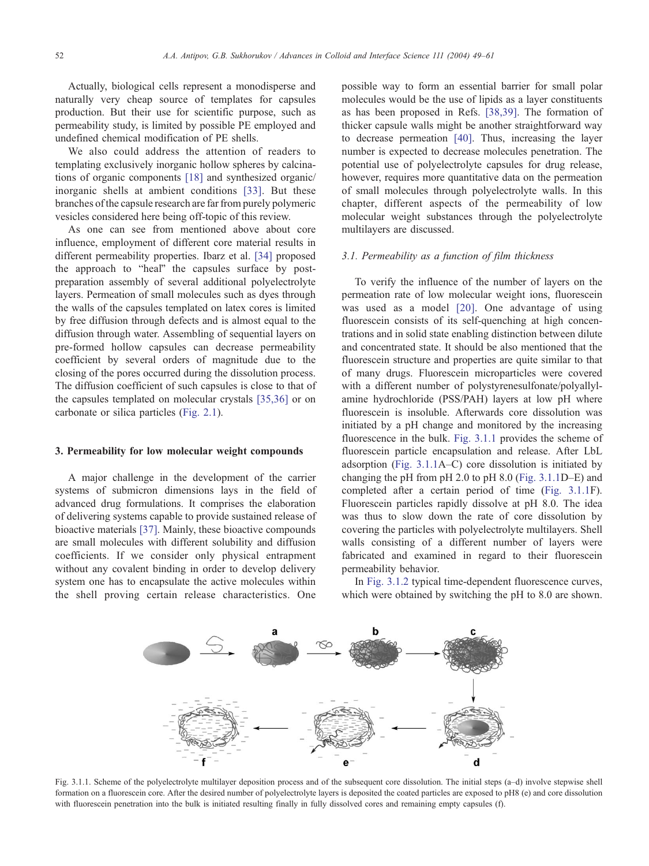Actually, biological cells represent a monodisperse and naturally very cheap source of templates for capsules production. But their use for scientific purpose, such as permeability study, is limited by possible PE employed and undefined chemical modification of PE shells.

We also could address the attention of readers to templating exclusively inorganic hollow spheres by calcinations of organic components [\[18\]](#page-12-0) and synthesized organic/ inorganic shells at ambient conditions [\[33\]](#page-12-0). But these branches of the capsule research are far from purely polymeric vesicles considered here being off-topic of this review.

As one can see from mentioned above about core influence, employment of different core material results in different permeability properties. Ibarz et al. [\[34\]](#page-12-0) proposed the approach to "heal" the capsules surface by postpreparation assembly of several additional polyelectrolyte layers. Permeation of small molecules such as dyes through the walls of the capsules templated on latex cores is limited by free diffusion through defects and is almost equal to the diffusion through water. Assembling of sequential layers on pre-formed hollow capsules can decrease permeability coefficient by several orders of magnitude due to the closing of the pores occurred during the dissolution process. The diffusion coefficient of such capsules is close to that of the capsules templated on molecular crystals [\[35,36\]](#page-12-0) or on carbonate or silica particles ([Fig. 2.1](#page-1-0)).

## 3. Permeability for low molecular weight compounds

A major challenge in the development of the carrier systems of submicron dimensions lays in the field of advanced drug formulations. It comprises the elaboration of delivering systems capable to provide sustained release of bioactive materials [\[37\].](#page-12-0) Mainly, these bioactive compounds are small molecules with different solubility and diffusion coefficients. If we consider only physical entrapment without any covalent binding in order to develop delivery system one has to encapsulate the active molecules within the shell proving certain release characteristics. One

possible way to form an essential barrier for small polar molecules would be the use of lipids as a layer constituents as has been proposed in Refs. [\[38,39\]](#page-12-0). The formation of thicker capsule walls might be another straightforward way to decrease permeation [\[40\]](#page-12-0). Thus, increasing the layer number is expected to decrease molecules penetration. The potential use of polyelectrolyte capsules for drug release, however, requires more quantitative data on the permeation of small molecules through polyelectrolyte walls. In this chapter, different aspects of the permeability of low molecular weight substances through the polyelectrolyte multilayers are discussed.

# 3.1. Permeability as a function of film thickness

To verify the influence of the number of layers on the permeation rate of low molecular weight ions, fluorescein was used as a model [\[20\].](#page-12-0) One advantage of using fluorescein consists of its self-quenching at high concentrations and in solid state enabling distinction between dilute and concentrated state. It should be also mentioned that the fluorescein structure and properties are quite similar to that of many drugs. Fluorescein microparticles were covered with a different number of polystyrenesulfonate/polyallylamine hydrochloride (PSS/PAH) layers at low pH where fluorescein is insoluble. Afterwards core dissolution was initiated by a pH change and monitored by the increasing fluorescence in the bulk. Fig. 3.1.1 provides the scheme of fluorescein particle encapsulation and release. After LbL adsorption (Fig. 3.1.1A–C) core dissolution is initiated by changing the pH from pH 2.0 to pH 8.0 (Fig. 3.1.1D–E) and completed after a certain period of time (Fig. 3.1.1F). Fluorescein particles rapidly dissolve at pH 8.0. The idea was thus to slow down the rate of core dissolution by covering the particles with polyelectrolyte multilayers. Shell walls consisting of a different number of layers were fabricated and examined in regard to their fluorescein permeability behavior.

In [Fig. 3.1.2](#page-4-0) typical time-dependent fluorescence curves, which were obtained by switching the pH to 8.0 are shown.



Fig. 3.1.1. Scheme of the polyelectrolyte multilayer deposition process and of the subsequent core dissolution. The initial steps (a–d) involve stepwise shell formation on a fluorescein core. After the desired number of polyelectrolyte layers is deposited the coated particles are exposed to pH8 (e) and core dissolution with fluorescein penetration into the bulk is initiated resulting finally in fully dissolved cores and remaining empty capsules (f).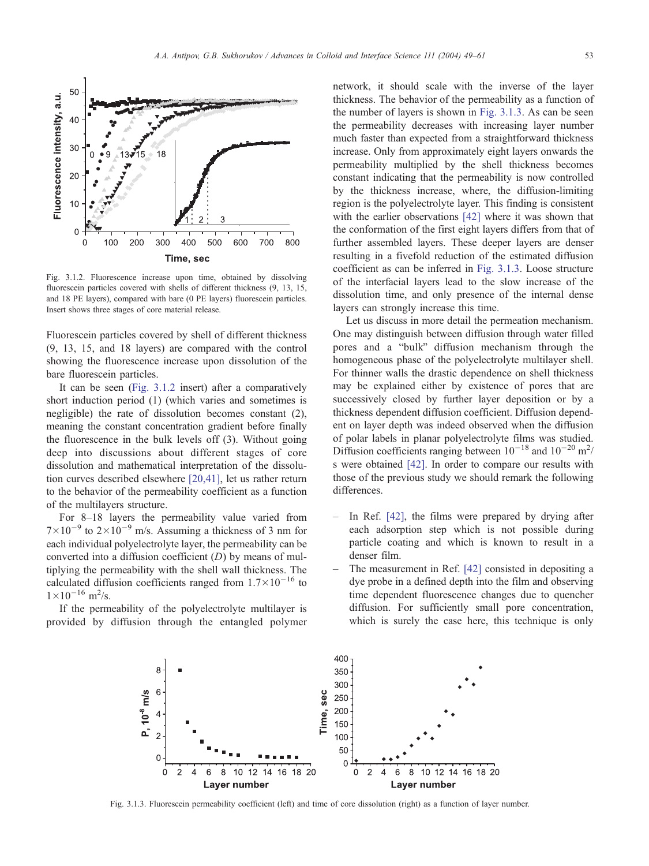<span id="page-4-0"></span>

Fig. 3.1.2. Fluorescence increase upon time, obtained by dissolving fluorescein particles covered with shells of different thickness (9, 13, 15, and 18 PE layers), compared with bare (0 PE layers) fluorescein particles. Insert shows three stages of core material release.

Fluorescein particles covered by shell of different thickness (9, 13, 15, and 18 layers) are compared with the control showing the fluorescence increase upon dissolution of the bare fluorescein particles.

It can be seen (Fig. 3.1.2 insert) after a comparatively short induction period (1) (which varies and sometimes is negligible) the rate of dissolution becomes constant (2), meaning the constant concentration gradient before finally the fluorescence in the bulk levels off (3). Without going deep into discussions about different stages of core dissolution and mathematical interpretation of the dissolution curves described elsewhere [\[20,41\]](#page-12-0), let us rather return to the behavior of the permeability coefficient as a function of the multilayers structure.

For 8–18 layers the permeability value varied from  $7 \times 10^{-9}$  to  $2 \times 10^{-9}$  m/s. Assuming a thickness of 3 nm for each individual polyelectrolyte layer, the permeability can be converted into a diffusion coefficient  $(D)$  by means of multiplying the permeability with the shell wall thickness. The calculated diffusion coefficients ranged from  $1.7 \times 10^{-16}$  to  $1 \times 10^{-16}$  m<sup>2</sup>/s.

If the permeability of the polyelectrolyte multilayer is provided by diffusion through the entangled polymer network, it should scale with the inverse of the layer thickness. The behavior of the permeability as a function of the number of layers is shown in Fig. 3.1.3. As can be seen the permeability decreases with increasing layer number much faster than expected from a straightforward thickness increase. Only from approximately eight layers onwards the permeability multiplied by the shell thickness becomes constant indicating that the permeability is now controlled by the thickness increase, where, the diffusion-limiting region is the polyelectrolyte layer. This finding is consistent with the earlier observations [\[42\]](#page-12-0) where it was shown that the conformation of the first eight layers differs from that of further assembled layers. These deeper layers are denser resulting in a fivefold reduction of the estimated diffusion coefficient as can be inferred in Fig. 3.1.3. Loose structure of the interfacial layers lead to the slow increase of the dissolution time, and only presence of the internal dense layers can strongly increase this time.

Let us discuss in more detail the permeation mechanism. One may distinguish between diffusion through water filled pores and a "bulk" diffusion mechanism through the homogeneous phase of the polyelectrolyte multilayer shell. For thinner walls the drastic dependence on shell thickness may be explained either by existence of pores that are successively closed by further layer deposition or by a thickness dependent diffusion coefficient. Diffusion dependent on layer depth was indeed observed when the diffusion of polar labels in planar polyelectrolyte films was studied. Diffusion coefficients ranging between  $10^{-18}$  and  $10^{-20}$  m<sup>2</sup>/ s were obtained [\[42\].](#page-12-0) In order to compare our results with those of the previous study we should remark the following differences.

- In Ref. [\[42\]](#page-12-0), the films were prepared by drying after each adsorption step which is not possible during particle coating and which is known to result in a denser film.
- The measurement in Ref. [\[42\]](#page-12-0) consisted in depositing a dye probe in a defined depth into the film and observing time dependent fluorescence changes due to quencher diffusion. For sufficiently small pore concentration, which is surely the case here, this technique is only



Fig. 3.1.3. Fluorescein permeability coefficient (left) and time of core dissolution (right) as a function of layer number.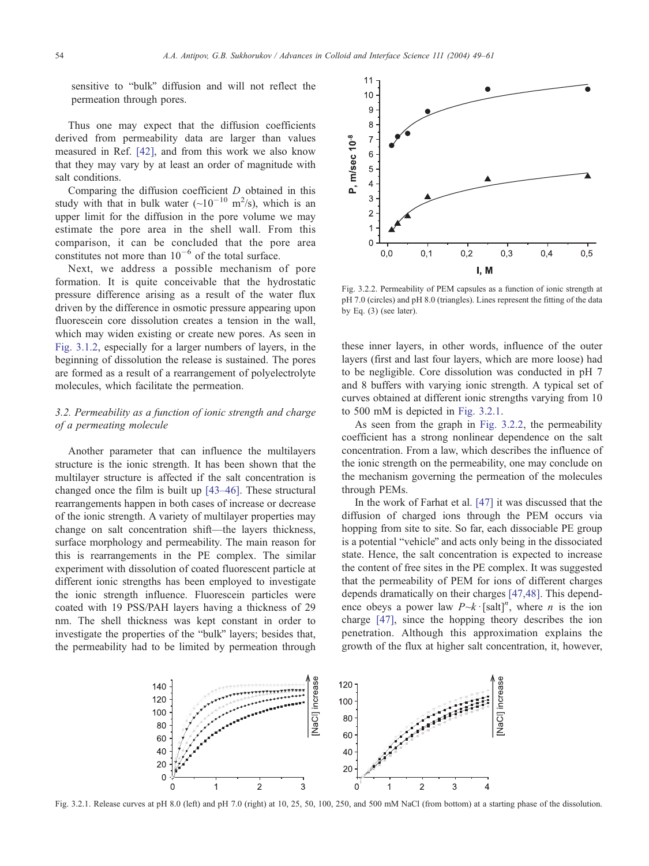<span id="page-5-0"></span>sensitive to "bulk" diffusion and will not reflect the permeation through pores.

Thus one may expect that the diffusion coefficients derived from permeability data are larger than values measured in Ref. [\[42\]](#page-12-0), and from this work we also know that they may vary by at least an order of magnitude with salt conditions.

Comparing the diffusion coefficient D obtained in this study with that in bulk water  $({\sim}10^{-10} \text{ m}^2/\text{s})$ , which is an upper limit for the diffusion in the pore volume we may estimate the pore area in the shell wall. From this comparison, it can be concluded that the pore area constitutes not more than  $10^{-6}$  of the total surface.

Next, we address a possible mechanism of pore formation. It is quite conceivable that the hydrostatic pressure difference arising as a result of the water flux driven by the difference in osmotic pressure appearing upon fluorescein core dissolution creates a tension in the wall, which may widen existing or create new pores. As seen in [Fig. 3.1.2,](#page-4-0) especially for a larger numbers of layers, in the beginning of dissolution the release is sustained. The pores are formed as a result of a rearrangement of polyelectrolyte molecules, which facilitate the permeation.

# 3.2. Permeability as a function of ionic strength and charge of a permeating molecule

Another parameter that can influence the multilayers structure is the ionic strength. It has been shown that the multilayer structure is affected if the salt concentration is changed once the film is built up [[43–46\].](#page-12-0) These structural rearrangements happen in both cases of increase or decrease of the ionic strength. A variety of multilayer properties may change on salt concentration shift—the layers thickness, surface morphology and permeability. The main reason for this is rearrangements in the PE complex. The similar experiment with dissolution of coated fluorescent particle at different ionic strengths has been employed to investigate the ionic strength influence. Fluorescein particles were coated with 19 PSS/PAH layers having a thickness of 29 nm. The shell thickness was kept constant in order to investigate the properties of the "bulk" layers; besides that, the permeability had to be limited by permeation through



Fig. 3.2.2. Permeability of PEM capsules as a function of ionic strength at pH 7.0 (circles) and pH 8.0 (triangles). Lines represent the fitting of the data by Eq. (3) (see later).

these inner layers, in other words, influence of the outer layers (first and last four layers, which are more loose) had to be negligible. Core dissolution was conducted in pH 7 and 8 buffers with varying ionic strength. A typical set of curves obtained at different ionic strengths varying from 10 to 500 mM is depicted in Fig. 3.2.1.

As seen from the graph in Fig. 3.2.2, the permeability coefficient has a strong nonlinear dependence on the salt concentration. From a law, which describes the influence of the ionic strength on the permeability, one may conclude on the mechanism governing the permeation of the molecules through PEMs.

In the work of Farhat et al. [\[47\]](#page-12-0) it was discussed that the diffusion of charged ions through the PEM occurs via hopping from site to site. So far, each dissociable PE group is a potential "vehicle" and acts only being in the dissociated state. Hence, the salt concentration is expected to increase the content of free sites in the PE complex. It was suggested that the permeability of PEM for ions of different charges depends dramatically on their charges [\[47,48\].](#page-12-0) This dependence obeys a power law  $P \sim k \cdot [\text{salt}]^n$ , where *n* is the ion charge [\[47\],](#page-12-0) since the hopping theory describes the ion penetration. Although this approximation explains the growth of the flux at higher salt concentration, it, however,



Fig. 3.2.1. Release curves at pH 8.0 (left) and pH 7.0 (right) at 10, 25, 50, 100, 250, and 500 mM NaCl (from bottom) at a starting phase of the dissolution.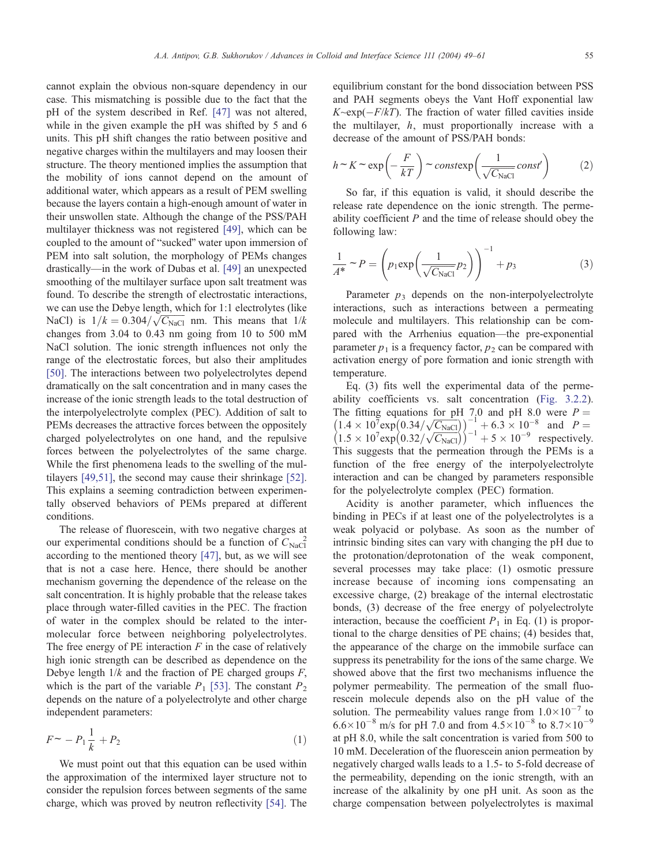cannot explain the obvious non-square dependency in our case. This mismatching is possible due to the fact that the pH of the system described in Ref. [\[47\]](#page-12-0) was not altered, while in the given example the pH was shifted by 5 and 6 units. This pH shift changes the ratio between positive and negative charges within the multilayers and may loosen their structure. The theory mentioned implies the assumption that the mobility of ions cannot depend on the amount of additional water, which appears as a result of PEM swelling because the layers contain a high-enough amount of water in their unswollen state. Although the change of the PSS/PAH multilayer thickness was not registered [\[49\]](#page-12-0), which can be coupled to the amount of "sucked" water upon immersion of PEM into salt solution, the morphology of PEMs changes drastically—in the work of Dubas et al. [\[49\]](#page-12-0) an unexpected smoothing of the multilayer surface upon salt treatment was found. To describe the strength of electrostatic interactions, we can use the Debye length, which for 1:1 electrolytes (like We can use the Debye length, which for 1.1 electrolytes (like NaCl) is  $1/k = 0.304/\sqrt{C_{\text{NaCl}}}$  nm. This means that  $1/k$ changes from 3.04 to 0.43 nm going from 10 to 500 mM NaCl solution. The ionic strength influences not only the range of the electrostatic forces, but also their amplitudes [\[50\]](#page-12-0). The interactions between two polyelectrolytes depend dramatically on the salt concentration and in many cases the increase of the ionic strength leads to the total destruction of the interpolyelectrolyte complex (PEC). Addition of salt to PEMs decreases the attractive forces between the oppositely charged polyelectrolytes on one hand, and the repulsive forces between the polyelectrolytes of the same charge. While the first phenomena leads to the swelling of the multilayers [\[49,51\]](#page-12-0), the second may cause their shrinkage [\[52\].](#page-12-0) This explains a seeming contradiction between experimentally observed behaviors of PEMs prepared at different conditions.

The release of fluorescein, with two negative charges at our experimental conditions should be a function of  $C_{\text{NaCl}}^2$ according to the mentioned theory [47], but, as we will see that is not a case here. Hence, there should be another mechanism governing the dependence of the release on the salt concentration. It is highly probable that the release takes place through water-filled cavities [in th](#page-12-0)e PEC. The fraction of water in the complex should be related to the intermolecular force between neighboring polyelectrolytes. The free energy of PE interaction  $F$  in the case of relatively high ionic strength can be described as dependence on the Debye length  $1/k$  and the fraction of PE charged groups  $F$ , which is the part of the variable  $P_1$  [\[53\].](#page-12-0) The constant  $P_2$ depends on the nature of a polyelectrolyte and other charge independent parameters:

$$
F \sim -P_1 \frac{1}{k} + P_2 \tag{1}
$$

We must point out that this equation can be used within the approximation of the intermixed layer structure not to consider the repulsion forces between segments of the same charge, which was proved by neutron reflectivity [\[54\]](#page-12-0). The equilibrium constant for the bond dissociation between PSS and PAH segments obeys the Vant Hoff exponential law  $K \sim \exp(-F/kT)$ . The fraction of water filled cavities inside the multilayer,  $h$ , must proportionally increase with a decrease of the amount of PSS/PAH bonds:

$$
h \sim K \sim \exp\left(-\frac{F}{kT}\right) \sim \text{const} \exp\left(\frac{1}{\sqrt{C_{\text{NaCl}}}} \text{const}'\right) \tag{2}
$$

So far, if this equation is valid, it should describe the release rate dependence on the ionic strength. The permeability coefficient  $P$  and the time of release should obey the following law:

$$
\frac{1}{A^*} \sim P = \left( p_1 \exp\left(\frac{1}{\sqrt{C_{\text{NaCl}}} p_2}\right) \right)^{-1} + p_3 \tag{3}
$$

Parameter  $p_3$  depends on the non-interpolyelectrolyte interactions, such as interactions between a permeating molecule and multilayers. This relationship can be compared with the Arrhenius equation—the pre-exponential parameter  $p_1$  is a frequency factor,  $p_2$  can be compared with activation energy of pore formation and ionic strength with temperature.

Eq. (3) fits well the experimental data of the permeability coefficients vs. salt concentration ([Fig. 3.2.2\)](#page-5-0). The fitting equations for pH 7.0 and pH 8.0 were  $P =$ 1.4  $\times$  10<sup>7</sup>exp(0.34/ $\sqrt{C_{\text{NaCl}}}$ )<sup>-1</sup> + 6.3  $\times$  10<sup>-8</sup> and *P* =  $(1.5 \times 10^{7} \text{exp}(0.32/\sqrt{C_{\text{NaCl}}}))^{-1} + 5 \times 10^{-9}$  respectively. This suggests that the permeation through the PEMs is a function of the free energy of the interpolyelectrolyte interaction and can be changed by parameters responsible for the polyelectrolyte complex (PEC) formation.

Acidity is another parameter, which influences the binding in PECs if at least one of the polyelectrolytes is a weak polyacid or polybase. As soon as the number of intrinsic binding sites can vary with changing the pH due to the protonation/deprotonation of the weak component, several processes may take place: (1) osmotic pressure increase because of incoming ions compensating an excessive charge, (2) breakage of the internal electrostatic bonds, (3) decrease of the free energy of polyelectrolyte interaction, because the coefficient  $P_1$  in Eq. (1) is proportional to the charge densities of PE chains; (4) besides that, the appearance of the charge on the immobile surface can suppress its penetrability for the ions of the same charge. We showed above that the first two mechanisms influence the polymer permeability. The permeation of the small fluorescein molecule depends also on the pH value of the solution. The permeability values range from  $1.0 \times 10^{-7}$  to  $6.6\times10^{-8}$  m/s for pH 7.0 and from  $4.5\times10^{-8}$  to  $8.7\times10^{-9}$ at pH 8.0, while the salt concentration is varied from 500 to 10 mM. Deceleration of the fluorescein anion permeation by negatively charged walls leads to a 1.5- to 5-fold decrease of the permeability, depending on the ionic strength, with an increase of the alkalinity by one pH unit. As soon as the charge compensation between polyelectrolytes is maximal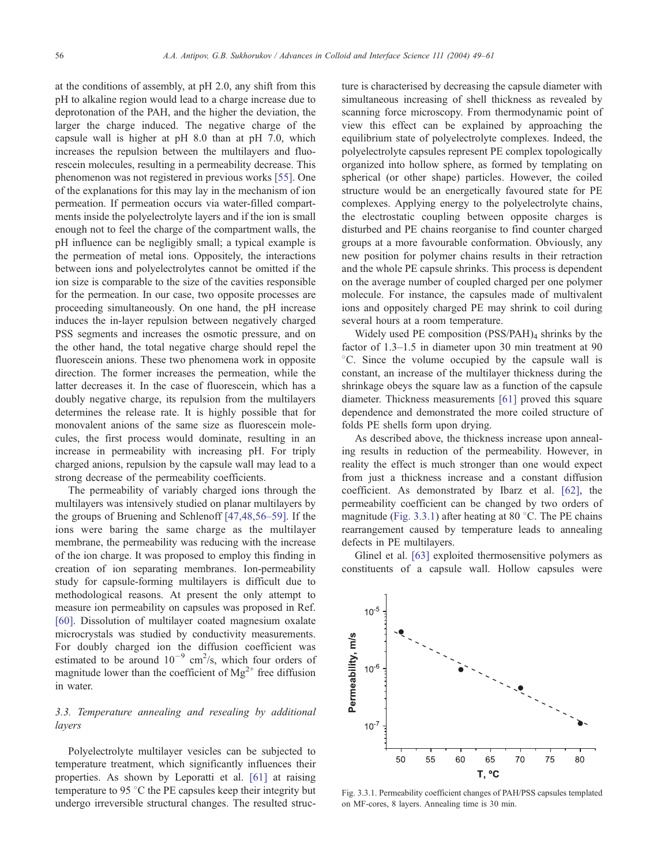at the conditions of assembly, at pH 2.0, any shift from this pH to alkaline region would lead to a charge increase due to deprotonation of the PAH, and the higher the deviation, the larger the charge induced. The negative charge of the capsule wall is higher at pH 8.0 than at pH 7.0, which increases the repulsion between the multilayers and fluorescein molecules, resulting in a permeability decrease. This phenomenon was not registered in previous works [\[55\].](#page-12-0) One of the explanations for this may lay in the mechanism of ion permeation. If permeation occurs via water-filled compartments inside the polyelectrolyte layers and if the ion is small enough not to feel the charge of the compartment walls, the pH influence can be negligibly small; a typical example is the permeation of metal ions. Oppositely, the interactions between ions and polyelectrolytes cannot be omitted if the ion size is comparable to the size of the cavities responsible for the permeation. In our case, two opposite processes are proceeding simultaneously. On one hand, the pH increase induces the in-layer repulsion between negatively charged PSS segments and increases the osmotic pressure, and on the other hand, the total negative charge should repel the fluorescein anions. These two phenomena work in opposite direction. The former increases the permeation, while the latter decreases it. In the case of fluorescein, which has a doubly negative charge, its repulsion from the multilayers determines the release rate. It is highly possible that for monovalent anions of the same size as fluorescein molecules, the first process would dominate, resulting in an increase in permeability with increasing pH. For triply charged anions, repulsion by the capsule wall may lead to a strong decrease of the permeability coefficients.

The permeability of variably charged ions through the multilayers was intensively studied on planar multilayers by the groups of Bruening and Schlenoff [\[47,48,56–59\].](#page-12-0) If the ions were baring the same charge as the multilayer membrane, the permeability was reducing with the increase of the ion charge. It was proposed to employ this finding in creation of ion separating membranes. Ion-permeability study for capsule-forming multilayers is difficult due to methodological reasons. At present the only attempt to measure ion permeability on capsules was proposed in Ref. [\[60\]](#page-12-0). Dissolution of multilayer coated magnesium oxalate microcrystals was studied by conductivity measurements. For doubly charged ion the diffusion coefficient was estimated to be around  $10^{-9}$  cm<sup>2</sup>/s, which four orders of magnitude lower than the coefficient of  $Mg^{2+}$  free diffusion in water.

# 3.3. Temperature annealing and resealing by additional layers

Polyelectrolyte multilayer vesicles can be subjected to temperature treatment, which significantly influences their properties. As shown by Leporatti et al. [\[61\]](#page-12-0) at raising temperature to 95 $\degree$ C the PE capsules keep their integrity but undergo irreversible structural changes. The resulted structure is characterised by decreasing the capsule diameter with simultaneous increasing of shell thickness as revealed by scanning force microscopy. From thermodynamic point of view this effect can be explained by approaching the equilibrium state of polyelectrolyte complexes. Indeed, the polyelectrolyte capsules represent PE complex topologically organized into hollow sphere, as formed by templating on spherical (or other shape) particles. However, the coiled structure would be an energetically favoured state for PE complexes. Applying energy to the polyelectrolyte chains, the electrostatic coupling between opposite charges is disturbed and PE chains reorganise to find counter charged groups at a more favourable conformation. Obviously, any new position for polymer chains results in their retraction and the whole PE capsule shrinks. This process is dependent on the average number of coupled charged per one polymer molecule. For instance, the capsules made of multivalent ions and oppositely charged PE may shrink to coil during several hours at a room temperature.

Widely used PE composition  $(PSS/PAH)_4$  shrinks by the factor of 1.3–1.5 in diameter upon 30 min treatment at 90 <sup>o</sup>C. Since the volume occupied by the capsule wall is constant, an increase of the multilayer thickness during the shrinkage obeys the square law as a function of the capsule diameter. Thickness measurements [\[61\]](#page-12-0) proved this square dependence and demonstrated the more coiled structure of folds PE shells form upon drying.

As described above, the thickness increase upon annealing results in reduction of the permeability. However, in reality the effect is much stronger than one would expect from just a thickness increase and a constant diffusion coefficient. As demonstrated by Ibarz et al. [\[62\]](#page-12-0), the permeability coefficient can be changed by two orders of magnitude (Fig. 3.3.1) after heating at 80  $^{\circ}$ C. The PE chains rearrangement caused by temperature leads to annealing defects in PE multilayers.

Glinel et al. [\[63\]](#page-12-0) exploited thermosensitive polymers as constituents of a capsule wall. Hollow capsules were



Fig. 3.3.1. Permeability coefficient changes of PAH/PSS capsules templated on MF-cores, 8 layers. Annealing time is 30 min.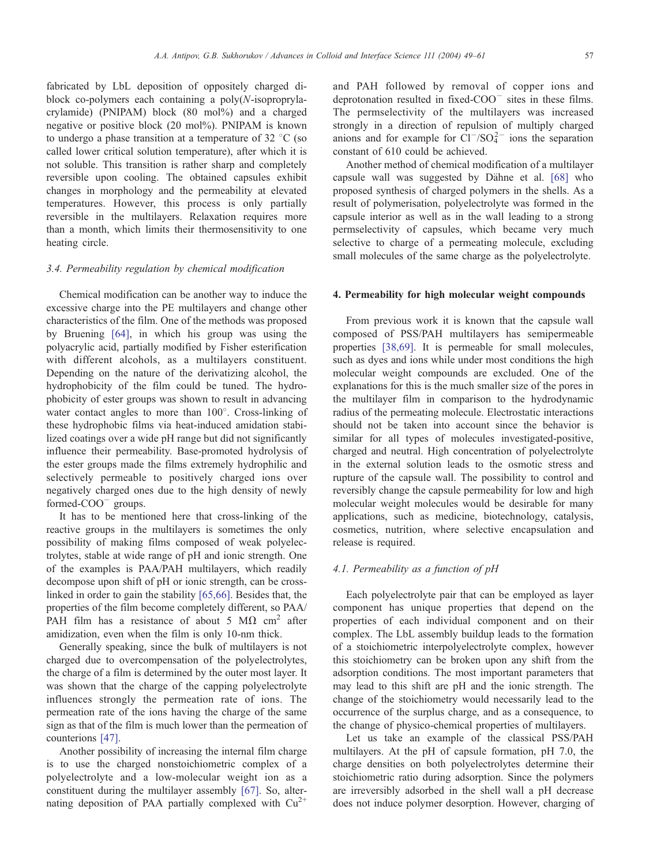fabricated by LbL deposition of oppositely charged diblock co-polymers each containing a poly(N-isoproprylacrylamide) (PNIPAM) block (80 mol%) and a charged negative or positive block (20 mol%). PNIPAM is known to undergo a phase transition at a temperature of  $32 \degree C$  (so called lower critical solution temperature), after which it is not soluble. This transition is rather sharp and completely reversible upon cooling. The obtained capsules exhibit changes in morphology and the permeability at elevated temperatures. However, this process is only partially reversible in the multilayers. Relaxation requires more than a month, which limits their thermosensitivity to one

# 3.4. Permeability regulation by chemical modification

heating circle.

Chemical modification can be another way to induce the excessive charge into the PE multilayers and change other characteristics of the film. One of the methods was proposed by Bruening [\[64\],](#page-12-0) in which his group was using the polyacrylic acid, partially modified by Fisher esterification with different alcohols, as a multilayers constituent. Depending on the nature of the derivatizing alcohol, the hydrophobicity of the film could be tuned. The hydrophobicity of ester groups was shown to result in advancing water contact angles to more than  $100^\circ$ . Cross-linking of these hydrophobic films via heat-induced amidation stabilized coatings over a wide pH range but did not significantly influence their permeability. Base-promoted hydrolysis of the ester groups made the films extremely hydrophilic and selectively permeable to positively charged ions over negatively charged ones due to the high density of newly formed-COO<sup>-</sup> groups.

It has to be mentioned here that cross-linking of the reactive groups in the multilayers is sometimes the only possibility of making films composed of weak polyelectrolytes, stable at wide range of pH and ionic strength. One of the examples is PAA/PAH multilayers, which readily decompose upon shift of pH or ionic strength, can be crosslinked in order to gain the stability [\[65,66\]](#page-12-0). Besides that, the properties of the film become completely different, so PAA/ PAH film has a resistance of about 5 M $\Omega$  cm<sup>2</sup> after amidization, even when the film is only 10-nm thick.

Generally speaking, since the bulk of multilayers is not charged due to overcompensation of the polyelectrolytes, the charge of a film is determined by the outer most layer. It was shown that the charge of the capping polyelectrolyte influences strongly the permeation rate of ions. The permeation rate of the ions having the charge of the same sign as that of the film is much lower than the permeation of counterions [\[47\].](#page-12-0)

Another possibility of increasing the internal film charge is to use the charged nonstoichiometric complex of a polyelectrolyte and a low-molecular weight ion as a constituent during the multilayer assembly [\[67\].](#page-12-0) So, alternating deposition of PAA partially complexed with  $Cu^{2+}$ 

and PAH followed by removal of copper ions and deprotonation resulted in fixed- $COO<sup>-</sup>$  sites in these films. The permselectivity of the multilayers was increased strongly in a direction of repulsion of multiply charged anions and for example for  $Cl^{-}/SO_4^{2-}$  ions the separation constant of 610 could be achieved.

Another method of chemical modification of a multilayer capsule wall was suggested by Dähne et al. [\[68\]](#page-12-0) who proposed synthesis of charged polymers in the shells. As a result of polymerisation, polyelectrolyte was formed in the capsule interior as well as in the wall leading to a strong permselectivity of capsules, which became very much selective to charge of a permeating molecule, excluding small molecules of the same charge as the polyelectrolyte.

# 4. Permeability for high molecular weight compounds

From previous work it is known that the capsule wall composed of PSS/PAH multilayers has semipermeable properties [\[38,69\].](#page-12-0) It is permeable for small molecules, such as dyes and ions while under most conditions the high molecular weight compounds are excluded. One of the explanations for this is the much smaller size of the pores in the multilayer film in comparison to the hydrodynamic radius of the permeating molecule. Electrostatic interactions should not be taken into account since the behavior is similar for all types of molecules investigated-positive, charged and neutral. High concentration of polyelectrolyte in the external solution leads to the osmotic stress and rupture of the capsule wall. The possibility to control and reversibly change the capsule permeability for low and high molecular weight molecules would be desirable for many applications, such as medicine, biotechnology, catalysis, cosmetics, nutrition, where selective encapsulation and release is required.

# 4.1. Permeability as a function of pH

Each polyelectrolyte pair that can be employed as layer component has unique properties that depend on the properties of each individual component and on their complex. The LbL assembly buildup leads to the formation of a stoichiometric interpolyelectrolyte complex, however this stoichiometry can be broken upon any shift from the adsorption conditions. The most important parameters that may lead to this shift are pH and the ionic strength. The change of the stoichiometry would necessarily lead to the occurrence of the surplus charge, and as a consequence, to the change of physico-chemical properties of multilayers.

Let us take an example of the classical PSS/PAH multilayers. At the pH of capsule formation, pH 7.0, the charge densities on both polyelectrolytes determine their stoichiometric ratio during adsorption. Since the polymers are irreversibly adsorbed in the shell wall a pH decrease does not induce polymer desorption. However, charging of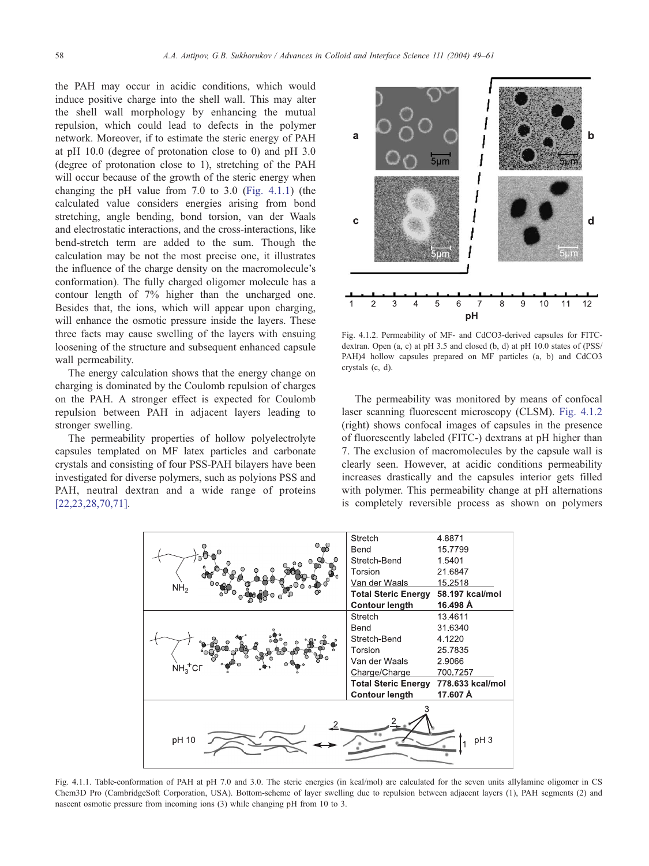the PAH may occur in acidic conditions, which would induce positive charge into the shell wall. This may alter the shell wall morphology by enhancing the mutual repulsion, which could lead to defects in the polymer network. Moreover, if to estimate the steric energy of PAH at pH 10.0 (degree of protonation close to 0) and pH 3.0 (degree of protonation close to 1), stretching of the PAH will occur because of the growth of the steric energy when changing the pH value from 7.0 to 3.0 (Fig. 4.1.1) (the calculated value considers energies arising from bond stretching, angle bending, bond torsion, van der Waals and electrostatic interactions, and the cross-interactions, like bend-stretch term are added to the sum. Though the calculation may be not the most precise one, it illustrates the influence of the charge density on the macromolecule's conformation). The fully charged oligomer molecule has a contour length of 7% higher than the uncharged one. Besides that, the ions, which will appear upon charging, will enhance the osmotic pressure inside the layers. These three facts may cause swelling of the layers with ensuing loosening of the structure and subsequent enhanced capsule wall permeability.

The energy calculation shows that the energy change on charging is dominated by the Coulomb repulsion of charges on the PAH. A stronger effect is expected for Coulomb repulsion between PAH in adjacent layers leading to stronger swelling.

The permeability properties of hollow polyelectrolyte capsules templated on MF latex particles and carbonate crystals and consisting of four PSS-PAH bilayers have been investigated for diverse polymers, such as polyions PSS and PAH, neutral dextran and a wide range of proteins [\[22,23,28,70,71\].](#page-12-0)



Fig. 4.1.2. Permeability of MF- and CdCO3-derived capsules for FITCdextran. Open (a, c) at pH 3.5 and closed (b, d) at pH 10.0 states of (PSS/ PAH)4 hollow capsules prepared on MF particles (a, b) and CdCO3 crystals (c, d).

The permeability was monitored by means of confocal laser scanning fluorescent microscopy (CLSM). Fig. 4.1.2 (right) shows confocal images of capsules in the presence of fluorescently labeled (FITC-) dextrans at pH higher than 7. The exclusion of macromolecules by the capsule wall is clearly seen. However, at acidic conditions permeability increases drastically and the capsules interior gets filled with polymer. This permeability change at pH alternations is completely reversible process as shown on polymers



Fig. 4.1.1. Table-conformation of PAH at pH 7.0 and 3.0. The steric energies (in kcal/mol) are calculated for the seven units allylamine oligomer in CS Chem3D Pro (CambridgeSoft Corporation, USA). Bottom-scheme of layer swelling due to repulsion between adjacent layers (1), PAH segments (2) and nascent osmotic pressure from incoming ions (3) while changing pH from 10 to 3.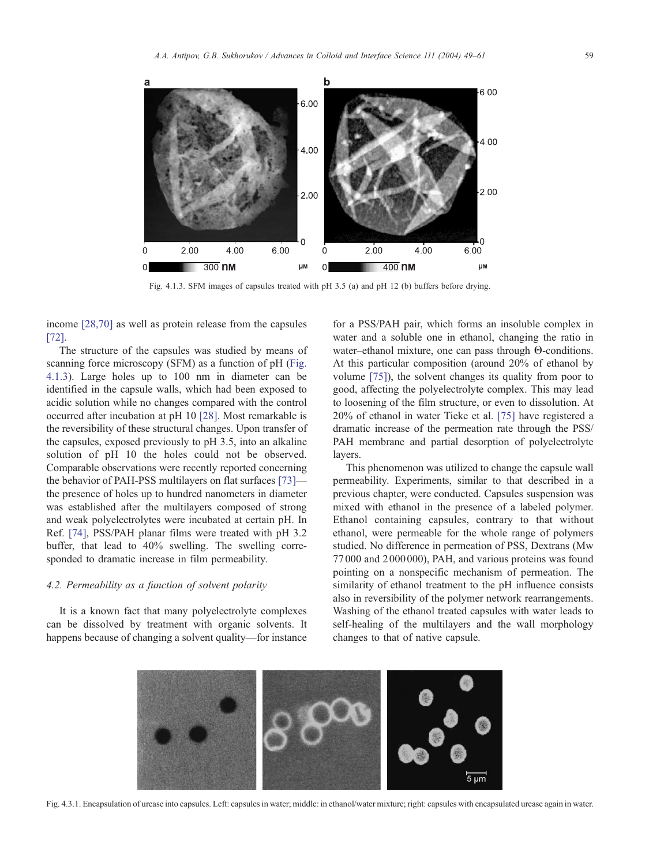<span id="page-10-0"></span>

Fig. 4.1.3. SFM images of capsules treated with pH 3.5 (a) and pH 12 (b) buffers before drying.

income [\[28,70\]](#page-12-0) as well as protein release from the capsules [\[72\].](#page-12-0)

The structure of the capsules was studied by means of scanning force microscopy (SFM) as a function of pH (Fig. 4.1.3). Large holes up to 100 nm in diameter can be identified in the capsule walls, which had been exposed to acidic solution while no changes compared with the control occurred after incubation at pH 10 [\[28\]](#page-12-0). Most remarkable is the reversibility of these structural changes. Upon transfer of the capsules, exposed previously to pH 3.5, into an alkaline solution of pH 10 the holes could not be observed. Comparable observations were recently reported concerning the behavior of PAH-PSS multilayers on flat surfaces [\[73\]](#page-12-0) the presence of holes up to hundred nanometers in diameter was established after the multilayers composed of strong and weak polyelectrolytes were incubated at certain pH. In Ref. [\[74\]](#page-12-0), PSS/PAH planar films were treated with pH 3.2 buffer, that lead to 40% swelling. The swelling corresponded to dramatic increase in film permeability.

#### 4.2. Permeability as a function of solvent polarity

It is a known fact that many polyelectrolyte complexes can be dissolved by treatment with organic solvents. It happens because of changing a solvent quality—for instance

for a PSS/PAH pair, which forms an insoluble complex in water and a soluble one in ethanol, changing the ratio in water–ethanol mixture, one can pass through  $\Theta$ -conditions. At this particular composition (around 20% of ethanol by volume [\[75\]](#page-12-0)), the solvent changes its quality from poor to good, affecting the polyelectrolyte complex. This may lead to loosening of the film structure, or even to dissolution. At 20% of ethanol in water Tieke et al. [\[75\]](#page-12-0) have registered a dramatic increase of the permeation rate through the PSS/ PAH membrane and partial desorption of polyelectrolyte layers.

This phenomenon was utilized to change the capsule wall permeability. Experiments, similar to that described in a previous chapter, were conducted. Capsules suspension was mixed with ethanol in the presence of a labeled polymer. Ethanol containing capsules, contrary to that without ethanol, were permeable for the whole range of polymers studied. No difference in permeation of PSS, Dextrans (Mw 77 000 and 2 000 000), PAH, and various proteins was found pointing on a nonspecific mechanism of permeation. The similarity of ethanol treatment to the pH influence consists also in reversibility of the polymer network rearrangements. Washing of the ethanol treated capsules with water leads to self-healing of the multilayers and the wall morphology changes to that of native capsule.



Fig. 4.3.1. Encapsulation of urease into capsules. Left: capsules in water; middle: in ethanol/water mixture; right: capsules with encapsulated urease again in water.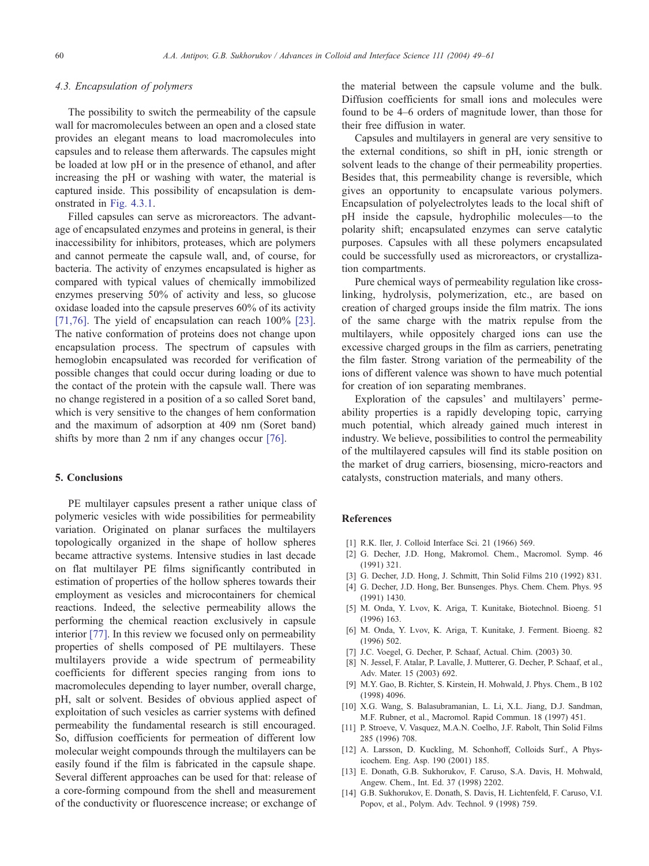# <span id="page-11-0"></span>4.3. Encapsulation of polymers

The possibility to switch the permeability of the capsule wall for macromolecules between an open and a closed state provides an elegant means to load macromolecules into capsules and to release them afterwards. The capsules might be loaded at low pH or in the presence of ethanol, and after increasing the pH or washing with water, the material is captured inside. This possibility of encapsulation is demonstrated in [Fig. 4.3.1](#page-10-0).

Filled capsules can serve as microreactors. The advantage of encapsulated enzymes and proteins in general, is their inaccessibility for inhibitors, proteases, which are polymers and cannot permeate the capsule wall, and, of course, for bacteria. The activity of enzymes encapsulated is higher as compared with typical values of chemically immobilized enzymes preserving 50% of activity and less, so glucose oxidase loaded into the capsule preserves 60% of its activity [\[71,76\]](#page-12-0). The yield of encapsulation can reach 100% [\[23\].](#page-12-0) The native conformation of proteins does not change upon encapsulation process. The spectrum of capsules with hemoglobin encapsulated was recorded for verification of possible changes that could occur during loading or due to the contact of the protein with the capsule wall. There was no change registered in a position of a so called Soret band, which is very sensitive to the changes of hem conformation and the maximum of adsorption at 409 nm (Soret band) shifts by more than 2 nm if any changes occur [\[76\]](#page-12-0).

## 5. Conclusions

PE multilayer capsules present a rather unique class of polymeric vesicles with wide possibilities for permeability variation. Originated on planar surfaces the multilayers topologically organized in the shape of hollow spheres became attractive systems. Intensive studies in last decade on flat multilayer PE films significantly contributed in estimation of properties of the hollow spheres towards their employment as vesicles and microcontainers for chemical reactions. Indeed, the selective permeability allows the performing the chemical reaction exclusively in capsule interior [77]. In this review we focused only on permeability properties of shells composed of PE multilayers. These multilayers provide a wide spectrum of permeability coefficients for different species ranging from ions to macro[molec](#page-12-0)ules depending to layer number, overall charge, pH, salt or solvent. Besides of obvious applied aspect of exploitation of such vesicles as carrier systems with defined permeability the fundamental research is still encouraged. So, diffusion coefficients for permeation of different low molecular weight compounds through the multilayers can be easily found if the film is fabricated in the capsule shape. Several different approaches can be used for that: release of a core-forming compound from the shell and measurement of the conductivity or fluorescence increase; or exchange of the material between the capsule volume and the bulk. Diffusion coefficients for small ions and molecules were found to be 4–6 orders of magnitude lower, than those for their free diffusion in water.

Capsules and multilayers in general are very sensitive to the external conditions, so shift in pH, ionic strength or solvent leads to the change of their permeability properties. Besides that, this permeability change is reversible, which gives an opportunity to encapsulate various polymers. Encapsulation of polyelectrolytes leads to the local shift of pH inside the capsule, hydrophilic molecules—to the polarity shift; encapsulated enzymes can serve catalytic purposes. Capsules with all these polymers encapsulated could be successfully used as microreactors, or crystallization compartments.

Pure chemical ways of permeability regulation like crosslinking, hydrolysis, polymerization, etc., are based on creation of charged groups inside the film matrix. The ions of the same charge with the matrix repulse from the multilayers, while oppositely charged ions can use the excessive charged groups in the film as carriers, penetrating the film faster. Strong variation of the permeability of the ions of different valence was shown to have much potential for creation of ion separating membranes.

Exploration of the capsules' and multilayers' permeability properties is a rapidly developing topic, carrying much potential, which already gained much interest in industry. We believe, possibilities to control the permeability of the multilayered capsules will find its stable position on the market of drug carriers, biosensing, micro-reactors and catalysts, construction materials, and many others.

## References

- [1] R.K. Iler, J. Colloid Interface Sci. 21 (1966) 569.
- [2] G. Decher, J.D. Hong, Makromol. Chem., Macromol. Symp. 46 (1991) 321.
- [3] G. Decher, J.D. Hong, J. Schmitt, Thin Solid Films 210 (1992) 831.
- [4] G. Decher, J.D. Hong, Ber. Bunsenges. Phys. Chem. Chem. Phys. 95 (1991) 1430.
- [5] M. Onda, Y. Lvov, K. Ariga, T. Kunitake, Biotechnol. Bioeng. 51 (1996) 163.
- [6] M. Onda, Y. Lvov, K. Ariga, T. Kunitake, J. Ferment. Bioeng. 82 (1996) 502.
- [7] J.C. Voegel, G. Decher, P. Schaaf, Actual. Chim. (2003) 30.
- [8] N. Jessel, F. Atalar, P. Lavalle, J. Mutterer, G. Decher, P. Schaaf, et al., Adv. Mater. 15 (2003) 692.
- [9] M.Y. Gao, B. Richter, S. Kirstein, H. Mohwald, J. Phys. Chem., B 102 (1998) 4096.
- [10] X.G. Wang, S. Balasubramanian, L. Li, X.L. Jiang, D.J. Sandman, M.F. Rubner, et al., Macromol. Rapid Commun. 18 (1997) 451.
- [11] P. Stroeve, V. Vasquez, M.A.N. Coelho, J.F. Rabolt, Thin Solid Films 285 (1996) 708.
- [12] A. Larsson, D. Kuckling, M. Schonhoff, Colloids Surf., A Physicochem. Eng. Asp. 190 (2001) 185.
- [13] E. Donath, G.B. Sukhorukov, F. Caruso, S.A. Davis, H. Mohwald, Angew. Chem., Int. Ed. 37 (1998) 2202.
- [14] G.B. Sukhorukov, E. Donath, S. Davis, H. Lichtenfeld, F. Caruso, V.I. Popov, et al., Polym. Adv. Technol. 9 (1998) 759.